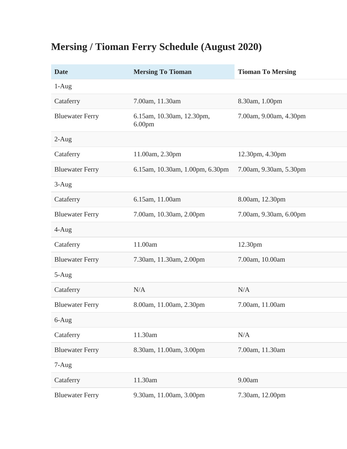## **Mersing / Tioman Ferry Schedule (August 2020)**

| <b>Date</b>            | <b>Mersing To Tioman</b>                        | <b>Tioman To Mersing</b> |
|------------------------|-------------------------------------------------|--------------------------|
| $1-Aug$                |                                                 |                          |
| Cataferry              | 7.00am, 11.30am                                 | 8.30am, 1.00pm           |
| <b>Bluewater Ferry</b> | 6.15am, 10.30am, 12.30pm,<br>6.00 <sub>pm</sub> | 7.00am, 9.00am, 4.30pm   |
| $2-Aug$                |                                                 |                          |
| Cataferry              | 11.00am, 2.30pm                                 | 12.30pm, 4.30pm          |
| <b>Bluewater Ferry</b> | 6.15am, 10.30am, 1.00pm, 6.30pm                 | 7.00am, 9.30am, 5.30pm   |
| $3-Aug$                |                                                 |                          |
| Cataferry              | 6.15am, 11.00am                                 | 8.00am, 12.30pm          |
| <b>Bluewater Ferry</b> | 7.00am, 10.30am, 2.00pm                         | 7.00am, 9.30am, 6.00pm   |
| $4-Aug$                |                                                 |                          |
| Cataferry              | 11.00am                                         | 12.30pm                  |
| <b>Bluewater Ferry</b> | 7.30am, 11.30am, 2.00pm                         | 7.00am, 10.00am          |
| $5-Aug$                |                                                 |                          |
| Cataferry              | N/A                                             | N/A                      |
| <b>Bluewater Ferry</b> | 8.00am, 11.00am, 2.30pm                         | 7.00am, 11.00am          |
| $6$ -Aug               |                                                 |                          |
| Cataferry              | 11.30am                                         | N/A                      |
| <b>Bluewater Ferry</b> | 8.30am, 11.00am, 3.00pm                         | 7.00am, 11.30am          |
| 7-Aug                  |                                                 |                          |
| Cataferry              | 11.30am                                         | 9.00am                   |
| <b>Bluewater Ferry</b> | 9.30am, 11.00am, 3.00pm                         | 7.30am, 12.00pm          |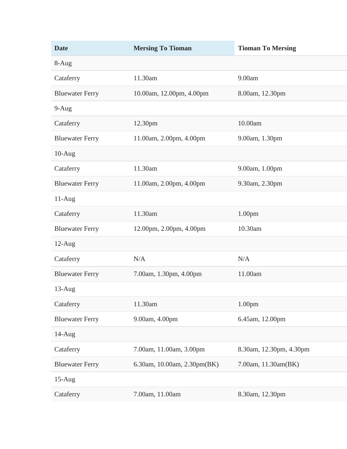| <b>Date</b>            | <b>Mersing To Tioman</b>    | <b>Tioman To Mersing</b> |
|------------------------|-----------------------------|--------------------------|
| 8-Aug                  |                             |                          |
| Cataferry              | 11.30am                     | 9.00am                   |
| <b>Bluewater Ferry</b> | 10.00am, 12.00pm, 4.00pm    | 8.00am, 12.30pm          |
| $9-Aug$                |                             |                          |
| Cataferry              | 12.30pm                     | 10.00am                  |
| <b>Bluewater Ferry</b> | 11.00am, 2.00pm, 4.00pm     | 9.00am, 1.30pm           |
| $10-Aug$               |                             |                          |
| Cataferry              | 11.30am                     | 9.00am, 1.00pm           |
| <b>Bluewater Ferry</b> | 11.00am, 2.00pm, 4.00pm     | 9.30am, 2.30pm           |
| $11-Aug$               |                             |                          |
| Cataferry              | 11.30am                     | 1.00 <sub>pm</sub>       |
| <b>Bluewater Ferry</b> | 12.00pm, 2.00pm, 4.00pm     | 10.30am                  |
| $12$ -Aug              |                             |                          |
| Cataferry              | N/A                         | N/A                      |
| <b>Bluewater Ferry</b> | 7.00am, 1.30pm, 4.00pm      | 11.00am                  |
| $13$ -Aug              |                             |                          |
| Cataferry              | 11.30am                     | 1.00 <sub>pm</sub>       |
| <b>Bluewater Ferry</b> | 9.00am, 4.00pm              | 6.45am, 12.00pm          |
| $14-Aug$               |                             |                          |
| Cataferry              | 7.00am, 11.00am, 3.00pm     | 8.30am, 12.30pm, 4.30pm  |
| <b>Bluewater Ferry</b> | 6.30am, 10.00am, 2.30pm(BK) | 7.00am, 11.30am(BK)      |
| $15-Aug$               |                             |                          |
| Cataferry              | 7.00am, 11.00am             | 8.30am, 12.30pm          |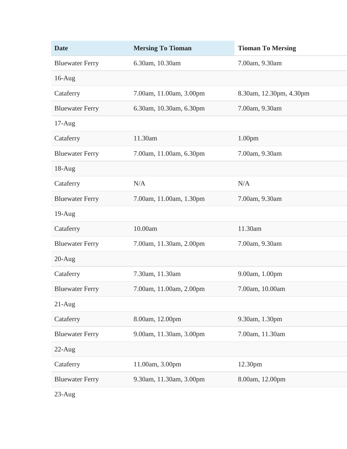| <b>Date</b>            | <b>Mersing To Tioman</b> | <b>Tioman To Mersing</b> |
|------------------------|--------------------------|--------------------------|
| <b>Bluewater Ferry</b> | 6.30am, 10.30am          | 7.00am, 9.30am           |
| $16$ -Aug              |                          |                          |
| Cataferry              | 7.00am, 11.00am, 3.00pm  | 8.30am, 12.30pm, 4.30pm  |
| <b>Bluewater Ferry</b> | 6.30am, 10.30am, 6.30pm  | 7.00am, 9.30am           |
| $17-Aug$               |                          |                          |
| Cataferry              | 11.30am                  | 1.00 <sub>pm</sub>       |
| <b>Bluewater Ferry</b> | 7.00am, 11.00am, 6.30pm  | 7.00am, 9.30am           |
| $18-Aug$               |                          |                          |
| Cataferry              | N/A                      | N/A                      |
| <b>Bluewater Ferry</b> | 7.00am, 11.00am, 1.30pm  | 7.00am, 9.30am           |
| $19-Aug$               |                          |                          |
| Cataferry              | 10.00am                  | 11.30am                  |
| <b>Bluewater Ferry</b> | 7.00am, 11.30am, 2.00pm  | 7.00am, 9.30am           |
| $20-Aug$               |                          |                          |
| Cataferry              | 7.30am, 11.30am          | 9.00am, 1.00pm           |
| <b>Bluewater Ferry</b> | 7.00am, 11.00am, 2.00pm  | 7.00am, 10.00am          |
| $21-Aug$               |                          |                          |
| Cataferry              | 8.00am, 12.00pm          | 9.30am, 1.30pm           |
| <b>Bluewater Ferry</b> | 9.00am, 11.30am, 3.00pm  | 7.00am, 11.30am          |
| $22$ -Aug              |                          |                          |
| Cataferry              | 11.00am, 3.00pm          | 12.30pm                  |
| <b>Bluewater Ferry</b> | 9.30am, 11.30am, 3.00pm  | 8.00am, 12.00pm          |
|                        |                          |                          |

23-Aug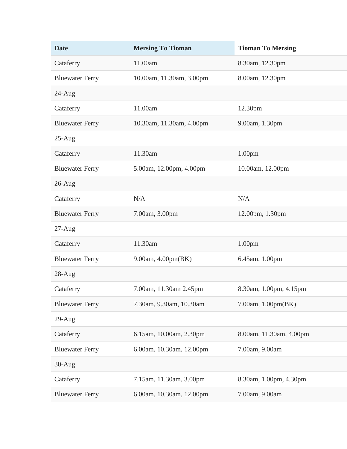| <b>Date</b>            | <b>Mersing To Tioman</b> | <b>Tioman To Mersing</b> |
|------------------------|--------------------------|--------------------------|
| Cataferry              | 11.00am                  | 8.30am, 12.30pm          |
| <b>Bluewater Ferry</b> | 10.00am, 11.30am, 3.00pm | 8.00am, 12.30pm          |
| $24$ -Aug              |                          |                          |
| Cataferry              | 11.00am                  | 12.30pm                  |
| <b>Bluewater Ferry</b> | 10.30am, 11.30am, 4.00pm | 9.00am, 1.30pm           |
| $25-Aug$               |                          |                          |
| Cataferry              | 11.30am                  | 1.00 <sub>pm</sub>       |
| <b>Bluewater Ferry</b> | 5.00am, 12.00pm, 4.00pm  | 10.00am, 12.00pm         |
| $26$ -Aug              |                          |                          |
| Cataferry              | N/A                      | N/A                      |
| <b>Bluewater Ferry</b> | 7.00am, 3.00pm           | 12.00pm, 1.30pm          |
| $27-Aug$               |                          |                          |
| Cataferry              | 11.30am                  | 1.00 <sub>pm</sub>       |
| <b>Bluewater Ferry</b> | 9.00am, 4.00pm(BK)       | 6.45am, 1.00pm           |
| $28$ -Aug              |                          |                          |
| Cataferry              | 7.00am, 11.30am 2.45pm   | 8.30am, 1.00pm, 4.15pm   |
| <b>Bluewater Ferry</b> | 7.30am, 9.30am, 10.30am  | 7.00am, 1.00pm(BK)       |
| $29-Aug$               |                          |                          |
| Cataferry              | 6.15am, 10.00am, 2.30pm  | 8.00am, 11.30am, 4.00pm  |
| <b>Bluewater Ferry</b> | 6.00am, 10.30am, 12.00pm | 7.00am, 9.00am           |
| $30-Aug$               |                          |                          |
| Cataferry              | 7.15am, 11.30am, 3.00pm  | 8.30am, 1.00pm, 4.30pm   |
| <b>Bluewater Ferry</b> | 6.00am, 10.30am, 12.00pm | 7.00am, 9.00am           |